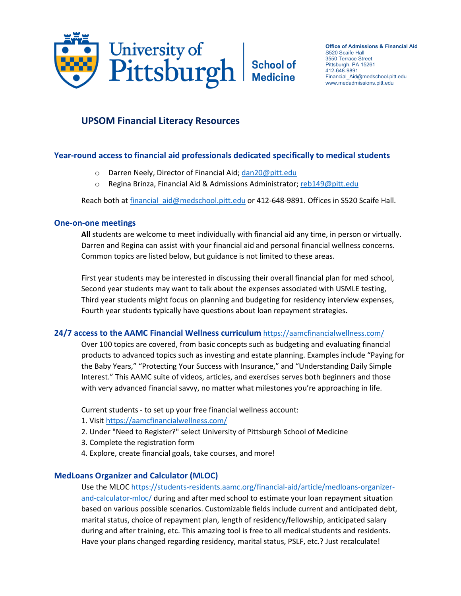

**Office of Admissions & Financial Aid** S520 Scaife Hall 3550 Terrace Street Pittsburgh, PA 15261 412-648-9891 Financial\_Aid@medschool.pitt.edu www.medadmissions.pitt.edu

# **UPSOM Financial Literacy Resources**

# **Year-round access to financial aid professionals dedicated specifically to medical students**

- o Darren Neely, Director of Financial Aid; [dan20@pitt.edu](mailto:dan20@pitt.edu)
- o Regina Brinza, Financial Aid & Admissions Administrator; [reb149@pitt.edu](mailto:reb149@pitt.edu)

Reach both at financial aid@medschool.pitt.edu or 412-648-9891. Offices in S520 Scaife Hall.

## **One-on-one meetings**

**All** students are welcome to meet individually with financial aid any time, in person or virtually. Darren and Regina can assist with your financial aid and personal financial wellness concerns. Common topics are listed below, but guidance is not limited to these areas.

First year students may be interested in discussing their overall financial plan for med school, Second year students may want to talk about the expenses associated with USMLE testing, Third year students might focus on planning and budgeting for residency interview expenses, Fourth year students typically have questions about loan repayment strategies.

## **24/7 access to the AAMC Financial Wellness curriculum** <https://aamcfinancialwellness.com/>

Over 100 topics are covered, from basic concepts such as budgeting and evaluating financial products to advanced topics such as investing and estate planning. Examples include "Paying for the Baby Years," "Protecting Your Success with Insurance," and "Understanding Daily Simple Interest." This AAMC suite of videos, articles, and exercises serves both beginners and those with very advanced financial savvy, no matter what milestones you're approaching in life.

Current students - to set up your free financial wellness account:

- 1. Visi[t https://aamcfinancialwellness.com/](https://aamcfinancialwellness.com/)
- 2. Under "Need to Register?" select University of Pittsburgh School of Medicine
- 3. Complete the registration form
- 4. Explore, create financial goals, take courses, and more!

## **MedLoans Organizer and Calculator (MLOC)**

Use the MLO[C https://students-residents.aamc.org/financial-aid/article/medloans-organizer](https://students-residents.aamc.org/financial-aid/article/medloans-organizer-and-calculator-mloc/)[and-calculator-mloc/](https://students-residents.aamc.org/financial-aid/article/medloans-organizer-and-calculator-mloc/) during and after med school to estimate your loan repayment situation based on various possible scenarios. Customizable fields include current and anticipated debt, marital status, choice of repayment plan, length of residency/fellowship, anticipated salary during and after training, etc. This amazing tool is free to all medical students and residents. Have your plans changed regarding residency, marital status, PSLF, etc.? Just recalculate!